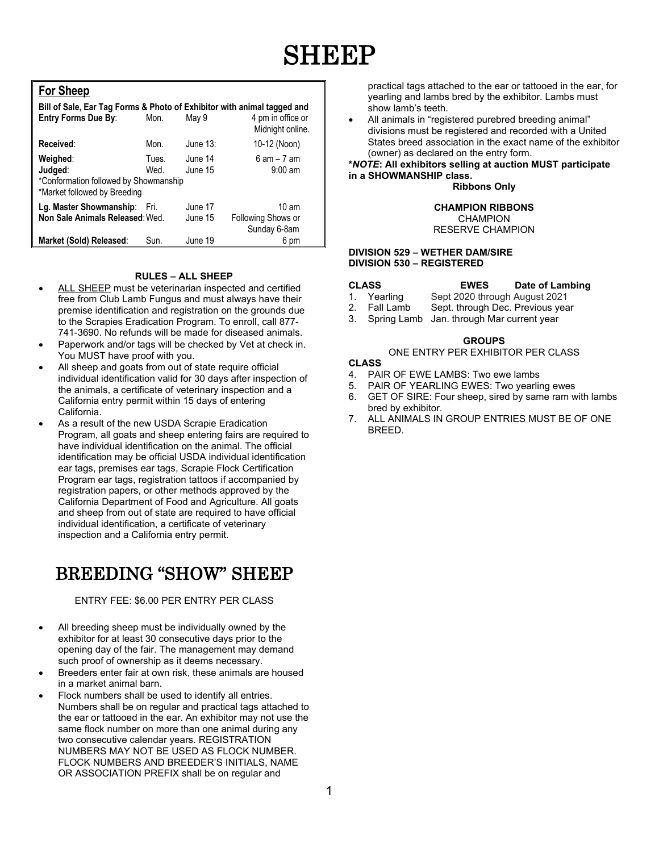# **SHEEP**

### **For Sheep**

| Bill of Sale, Ear Tag Forms & Photo of Exhibitor with animal tagged and<br><b>Entry Forms Due By:</b> | Mon.          | May 9              | 4 pm in office or<br>Midnight online.                 |
|-------------------------------------------------------------------------------------------------------|---------------|--------------------|-------------------------------------------------------|
| Received:                                                                                             | Mon.          | June $13$ :        | 10-12 (Noon)                                          |
| Weighed:<br>Judged:<br>*Conformation followed by Showmanship<br>*Market followed by Breeding          | Tues.<br>Wed. | June 14<br>June 15 | $6$ am $-7$ am<br>$9:00 \text{ am}$                   |
| Lg. Master Showmanship: Fri.<br>Non Sale Animals Released: Wed.                                       |               | June 17<br>June 15 | $10 \text{ am}$<br>Following Shows or<br>Sunday 6-8am |
| Market (Sold) Released:                                                                               | Sun.          | June 19            | 6 pm                                                  |

#### **RULES – ALL SHEEP**

- ALL SHEEP must be veterinarian inspected and certified free from Club Lamb Fungus and must always have their premise identification and registration on the grounds due to the Scrapies Eradication Program. To enroll, call 877- 741-3690. No refunds will be made for diseased animals.
- Paperwork and/or tags will be checked by Vet at check in. You MUST have proof with you.
- All sheep and goats from out of state require official individual identification valid for 30 days after inspection of the animals, a certificate of veterinary inspection and a California entry permit within 15 days of entering California.
- As a result of the new USDA Scrapie Eradication Program, all goats and sheep entering fairs are required to have individual identification on the animal. The official identification may be official USDA individual identification ear tags, premises ear tags, Scrapie Flock Certification Program ear tags, registration tattoos if accompanied by registration papers, or other methods approved by the California Department of Food and Agriculture. All goats and sheep from out of state are required to have official individual identification, a certificate of veterinary inspection and a California entry permit.

## BREEDING "SHOW" SHEEP

#### ENTRY FEE: \$6.00 PER ENTRY PER CLASS

- All breeding sheep must be individually owned by the exhibitor for at least 30 consecutive days prior to the opening day of the fair. The management may demand such proof of ownership as it deems necessary.
- Breeders enter fair at own risk, these animals are housed in a market animal barn.
- Flock numbers shall be used to identify all entries. Numbers shall be on regular and practical tags attached to the ear or tattooed in the ear. An exhibitor may not use the same flock number on more than one animal during any two consecutive calendar years. REGISTRATION NUMBERS MAY NOT BE USED AS FLOCK NUMBER. FLOCK NUMBERS AND BREEDER'S INITIALS, NAME OR ASSOCIATION PREFIX shall be on regular and

practical tags attached to the ear or tattooed in the ear, for yearling and lambs bred by the exhibitor. Lambs must show lamb's teeth.

• All animals in "registered purebred breeding animal" divisions must be registered and recorded with a United States breed association in the exact name of the exhibitor (owner) as declared on the entry form.

#### **\****NOTE***: All exhibitors selling at auction MUST participate in a SHOWMANSHIP class.**

**Ribbons Only**

#### **CHAMPION RIBBONS CHAMPION**

RESERVE CHAMPION

#### **DIVISION 529 – WETHER DAM/SIRE DIVISION 530 – REGISTERED**

- **CLASS EWES Date of Lambing** 1. Yearling Sept 2020 through August 2021<br>2. Fall Lamb Sept. through Dec. Previous yea
	- Sept. through Dec. Previous year
- 3. Spring Lamb Jan. through Mar current year

#### **GROUPS**

### ONE ENTRY PER EXHIBITOR PER CLASS

#### **CLASS**

- 4. PAIR OF EWE LAMBS: Two ewe lambs
- 5. PAIR OF YEARLING EWES: Two yearling ewes<br>6. GET OF SIRE: Four sheep, sired by same ram w
- 6. GET OF SIRE: Four sheep, sired by same ram with lambs bred by exhibitor.
- 7. ALL ANIMALS IN GROUP ENTRIES MUST BE OF ONE BREED.